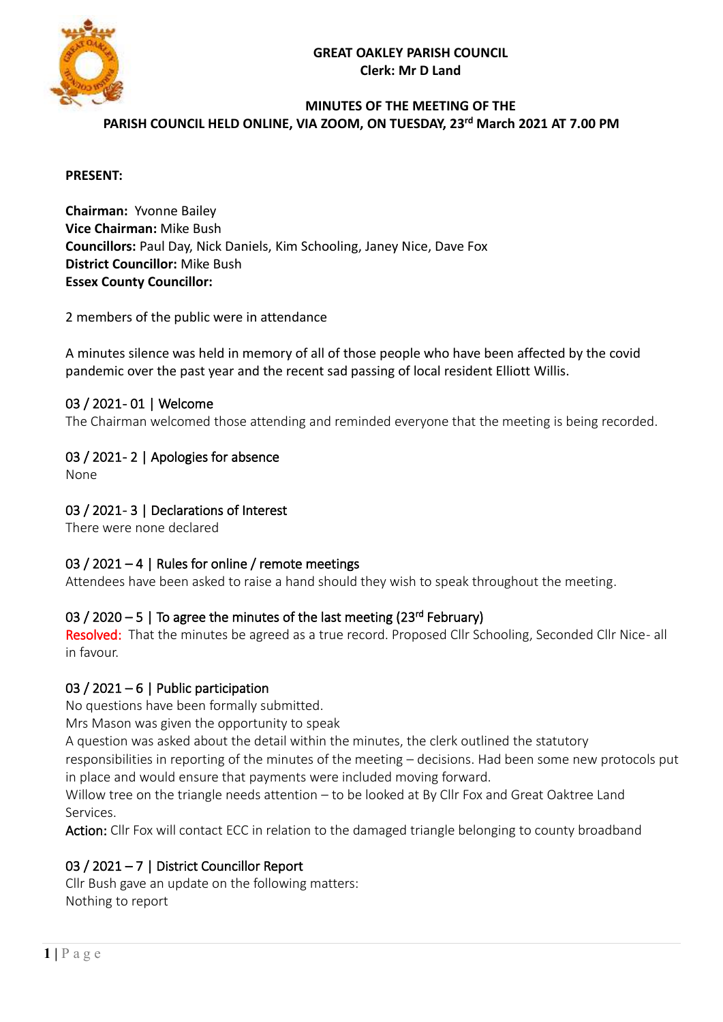

#### **MINUTES OF THE MEETING OF THE PARISH COUNCIL HELD ONLINE, VIA ZOOM, ON TUESDAY, 23rd March 2021 AT 7.00 PM**

#### **PRESENT:**

**Chairman:** Yvonne Bailey **Vice Chairman:** Mike Bush **Councillors:** Paul Day, Nick Daniels, Kim Schooling, Janey Nice, Dave Fox **District Councillor:** Mike Bush **Essex County Councillor:** 

2 members of the public were in attendance

A minutes silence was held in memory of all of those people who have been affected by the covid pandemic over the past year and the recent sad passing of local resident Elliott Willis.

#### 03 / 2021- 01 | Welcome

The Chairman welcomed those attending and reminded everyone that the meeting is being recorded.

## 03 / 2021 - 2 | Apologies for absence

None

## 03 / 2021 - 3 | Declarations of Interest

There were none declared

## 03 / 2021 – 4 | Rules for online / remote meetings

Attendees have been asked to raise a hand should they wish to speak throughout the meeting.

#### 03 / 2020  $-5$  | To agree the minutes of the last meeting (23<sup>rd</sup> February)

Resolved: That the minutes be agreed as a true record. Proposed Cllr Schooling, Seconded Cllr Nice- all in favour.

#### 03 / 2021 – 6 | Public participation

No questions have been formally submitted.

Mrs Mason was given the opportunity to speak

A question was asked about the detail within the minutes, the clerk outlined the statutory

responsibilities in reporting of the minutes of the meeting – decisions. Had been some new protocols put in place and would ensure that payments were included moving forward.

Willow tree on the triangle needs attention – to be looked at By Cllr Fox and Great Oaktree Land Services.

Action: Cllr Fox will contact ECC in relation to the damaged triangle belonging to county broadband

## 03 / 2021 – 7 | District Councillor Report

Cllr Bush gave an update on the following matters: Nothing to report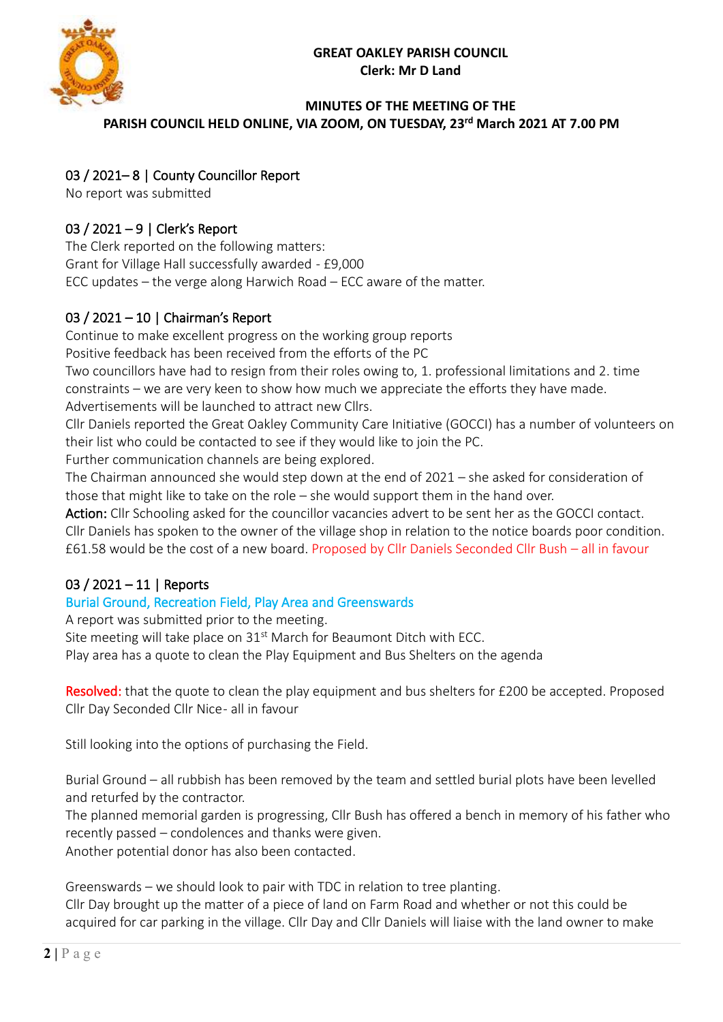

## **MINUTES OF THE MEETING OF THE PARISH COUNCIL HELD ONLINE, VIA ZOOM, ON TUESDAY, 23rd March 2021 AT 7.00 PM**

## 03 / 2021– 8 | County Councillor Report

No report was submitted

## 03 / 2021 – 9 | Clerk's Report

The Clerk reported on the following matters: Grant for Village Hall successfully awarded - £9,000 ECC updates – the verge along Harwich Road – ECC aware of the matter.

## 03 / 2021 – 10 | Chairman's Report

Continue to make excellent progress on the working group reports Positive feedback has been received from the efforts of the PC Two councillors have had to resign from their roles owing to, 1. professional limitations and 2. time

constraints – we are very keen to show how much we appreciate the efforts they have made.

Advertisements will be launched to attract new Cllrs.

Cllr Daniels reported the Great Oakley Community Care Initiative (GOCCI) has a number of volunteers on their list who could be contacted to see if they would like to join the PC.

Further communication channels are being explored.

The Chairman announced she would step down at the end of 2021 – she asked for consideration of those that might like to take on the role – she would support them in the hand over.

Action: Cllr Schooling asked for the councillor vacancies advert to be sent her as the GOCCI contact. Cllr Daniels has spoken to the owner of the village shop in relation to the notice boards poor condition. £61.58 would be the cost of a new board. Proposed by Cllr Daniels Seconded Cllr Bush – all in favour

## 03 / 2021 – 11 | Reports

## Burial Ground, Recreation Field, Play Area and Greenswards

A report was submitted prior to the meeting.

Site meeting will take place on 31<sup>st</sup> March for Beaumont Ditch with ECC.

Play area has a quote to clean the Play Equipment and Bus Shelters on the agenda

Resolved: that the quote to clean the play equipment and bus shelters for £200 be accepted. Proposed Cllr Day Seconded Cllr Nice - all in favour

Still looking into the options of purchasing the Field.

Burial Ground – all rubbish has been removed by the team and settled burial plots have been levelled and returfed by the contractor.

The planned memorial garden is progressing, Cllr Bush has offered a bench in memory of his father who recently passed – condolences and thanks were given.

Another potential donor has also been contacted.

Greenswards – we should look to pair with TDC in relation to tree planting.

Cllr Day brought up the matter of a piece of land on Farm Road and whether or not this could be acquired for car parking in the village. Cllr Day and Cllr Daniels will liaise with the land owner to make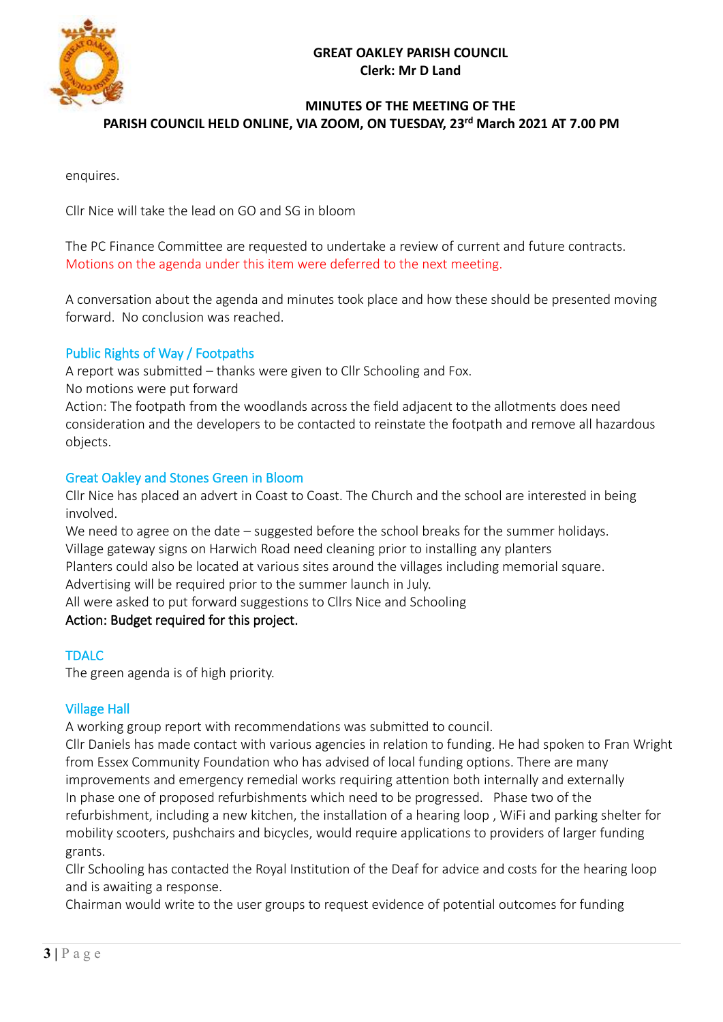

## **MINUTES OF THE MEETING OF THE PARISH COUNCIL HELD ONLINE, VIA ZOOM, ON TUESDAY, 23rd March 2021 AT 7.00 PM**

enquires.

Cllr Nice will take the lead on GO and SG in bloom

The PC Finance Committee are requested to undertake a review of current and future contracts. Motions on the agenda under this item were deferred to the next meeting.

A conversation about the agenda and minutes took place and how these should be presented moving forward. No conclusion was reached.

#### Public Rights of Way / Footpaths

A report was submitted – thanks were given to Cllr Schooling and Fox.

No motions were put forward

Action: The footpath from the woodlands across the field adjacent to the allotments does need consideration and the developers to be contacted to reinstate the footpath and remove all hazardous objects.

#### Great Oakley and Stones Green in Bloom

Cllr Nice has placed an advert in Coast to Coast. The Church and the school are interested in being involved.

We need to agree on the date – suggested before the school breaks for the summer holidays. Village gateway signs on Harwich Road need cleaning prior to installing any planters Planters could also be located at various sites around the villages including memorial square.

Advertising will be required prior to the summer launch in July.

All were asked to put forward suggestions to Cllrs Nice and Schooling

#### Action: Budget required for this project.

#### TDALC

The green agenda is of high priority.

#### Village Hall

A working group report with recommendations was submitted to council.

Cllr Daniels has made contact with various agencies in relation to funding. He had spoken to Fran Wright from Essex Community Foundation who has advised of local funding options. There are many improvements and emergency remedial works requiring attention both internally and externally In phase one of proposed refurbishments which need to be progressed. Phase two of the refurbishment, including a new kitchen, the installation of a hearing loop , WiFi and parking shelter for mobility scooters, pushchairs and bicycles, would require applications to providers of larger funding grants.

Cllr Schooling has contacted the Royal Institution of the Deaf for advice and costs for the hearing loop and is awaiting a response.

Chairman would write to the user groups to request evidence of potential outcomes for funding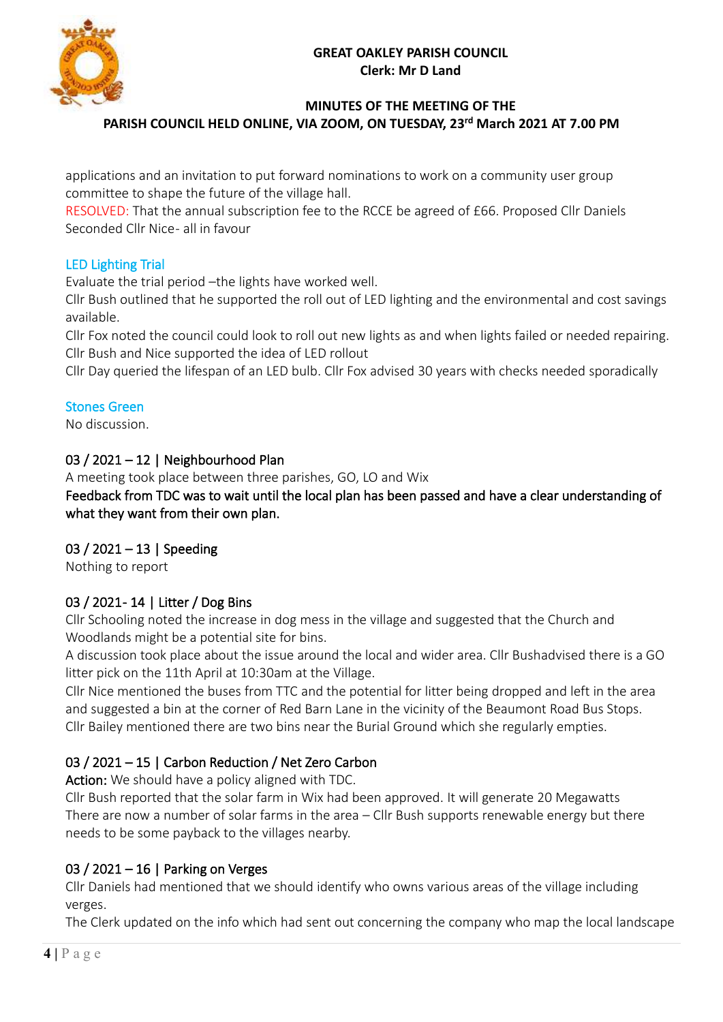

#### **MINUTES OF THE MEETING OF THE PARISH COUNCIL HELD ONLINE, VIA ZOOM, ON TUESDAY, 23rd March 2021 AT 7.00 PM**

applications and an invitation to put forward nominations to work on a community user group committee to shape the future of the village hall.

RESOLVED: That the annual subscription fee to the RCCE be agreed of £66. Proposed Cllr Daniels Seconded Cllr Nice - all in favour

## LED Lighting Trial

Evaluate the trial period –the lights have worked well.

Cllr Bush outlined that he supported the roll out of LED lighting and the environmental and cost savings available.

Cllr Fox noted the council could look to roll out new lights as and when lights failed or needed repairing. Cllr Bush and Nice supported the idea of LED rollout

Cllr Day queried the lifespan of an LED bulb. Cllr Fox advised 30 years with checks needed sporadically

## Stones Green

No discussion.

## 03 / 2021 – 12 | Neighbourhood Plan

A meeting took place between three parishes, GO, LO and Wix Feedback from TDC was to wait until the local plan has been passed and have a clear understanding of what they want from their own plan.

## 03 / 2021 – 13 | Speeding

Nothing to report

## 03 / 2021-14 | Litter / Dog Bins

Cllr Schooling noted the increase in dog mess in the village and suggested that the Church and Woodlands might be a potential site for bins.

A discussion took place about the issue around the local and wider area. Cllr Bushadvised there is a GO litter pick on the 11th April at 10:30am at the Village.

Cllr Nice mentioned the buses from TTC and the potential for litter being dropped and left in the area and suggested a bin at the corner of Red Barn Lane in the vicinity of the Beaumont Road Bus Stops. Cllr Bailey mentioned there are two bins near the Burial Ground which she regularly empties.

## 03 / 2021 – 15 | Carbon Reduction / Net Zero Carbon

Action: We should have a policy aligned with TDC.

Cllr Bush reported that the solar farm in Wix had been approved. It will generate 20 Megawatts There are now a number of solar farms in the area – Cllr Bush supports renewable energy but there needs to be some payback to the villages nearby.

## 03 / 2021 – 16 | Parking on Verges

Cllr Daniels had mentioned that we should identify who owns various areas of the village including verges.

The Clerk updated on the info which had sent out concerning the company who map the local landscape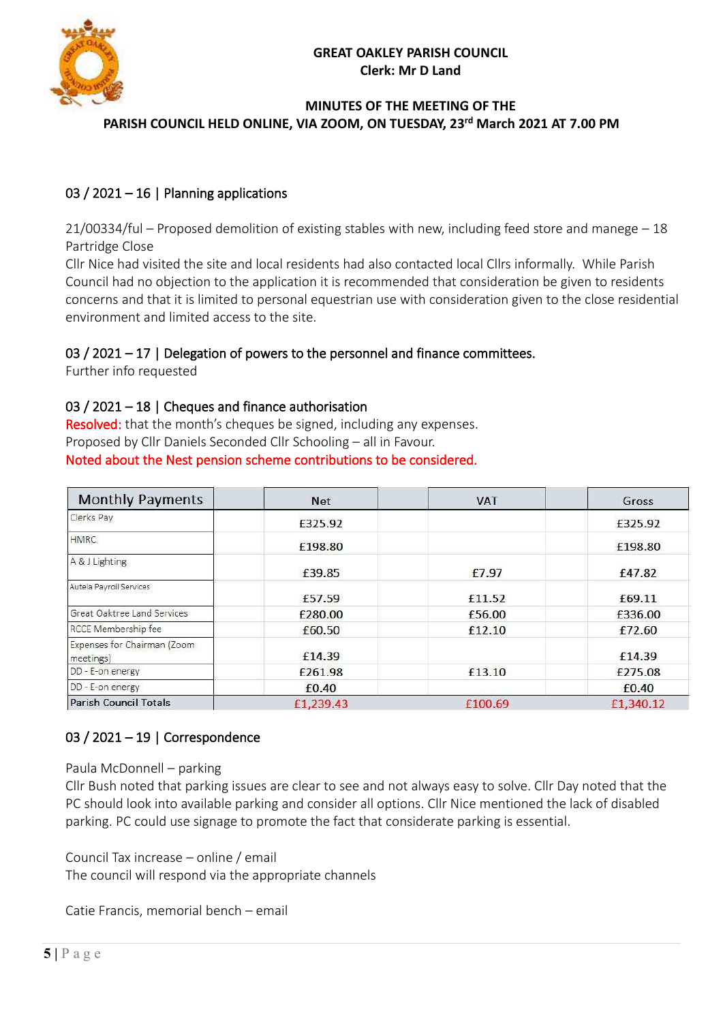

#### **MINUTES OF THE MEETING OF THE PARISH COUNCIL HELD ONLINE, VIA ZOOM, ON TUESDAY, 23rd March 2021 AT 7.00 PM**

## 03 / 2021 – 16 | Planning applications

21/00334/ful – Proposed demolition of existing stables with new, including feed store and manege – 18 Partridge Close

Cllr Nice had visited the site and local residents had also contacted local Cllrs informally. While Parish Council had no objection to the application it is recommended that consideration be given to residents concerns and that it is limited to personal equestrian use with consideration given to the close residential environment and limited access to the site.

## 03 / 2021 – 17 | Delegation of powers to the personnel and finance committees.

Further info requested

## 03 / 2021 – 18 | Cheques and finance authorisation

Resolved: that the month's cheques be signed, including any expenses. Proposed by Cllr Daniels Seconded Cllr Schooling – all in Favour. Noted about the Nest pension scheme contributions to be considered.

| <b>Monthly Payments</b>                  | <b>Net</b> | <b>VAT</b> | Gross     |
|------------------------------------------|------------|------------|-----------|
| Clerks Pay                               | £325.92    |            | £325.92   |
| <b>HMRC</b>                              | £198.80    |            | £198.80   |
| A & J Lighting                           | £39.85     | £7.97      | £47.82    |
| Autela Payroll Services                  | £57.59     | £11.52     | £69.11    |
| Great Oaktree Land Services              | £280.00    | £56.00     | £336.00   |
| <b>RCCE</b> Membership fee               | £60.50     | £12.10     | £72.60    |
| Expenses for Chairman (Zoom<br>meetings) | £14.39     |            | £14.39    |
| DD - E-on energy                         | £261.98    | £13.10     | £275.08   |
| DD - E-on energy                         | £0.40      |            | £0.40     |
| <b>Parish Council Totals</b>             | £1,239.43  | £100.69    | £1,340.12 |

## 03 / 2021 – 19 | Correspondence

Paula McDonnell – parking

Cllr Bush noted that parking issues are clear to see and not always easy to solve. Cllr Day noted that the PC should look into available parking and consider all options. Cllr Nice mentioned the lack of disabled parking. PC could use signage to promote the fact that considerate parking is essential.

Council Tax increase – online / email The council will respond via the appropriate channels

Catie Francis, memorial bench – email